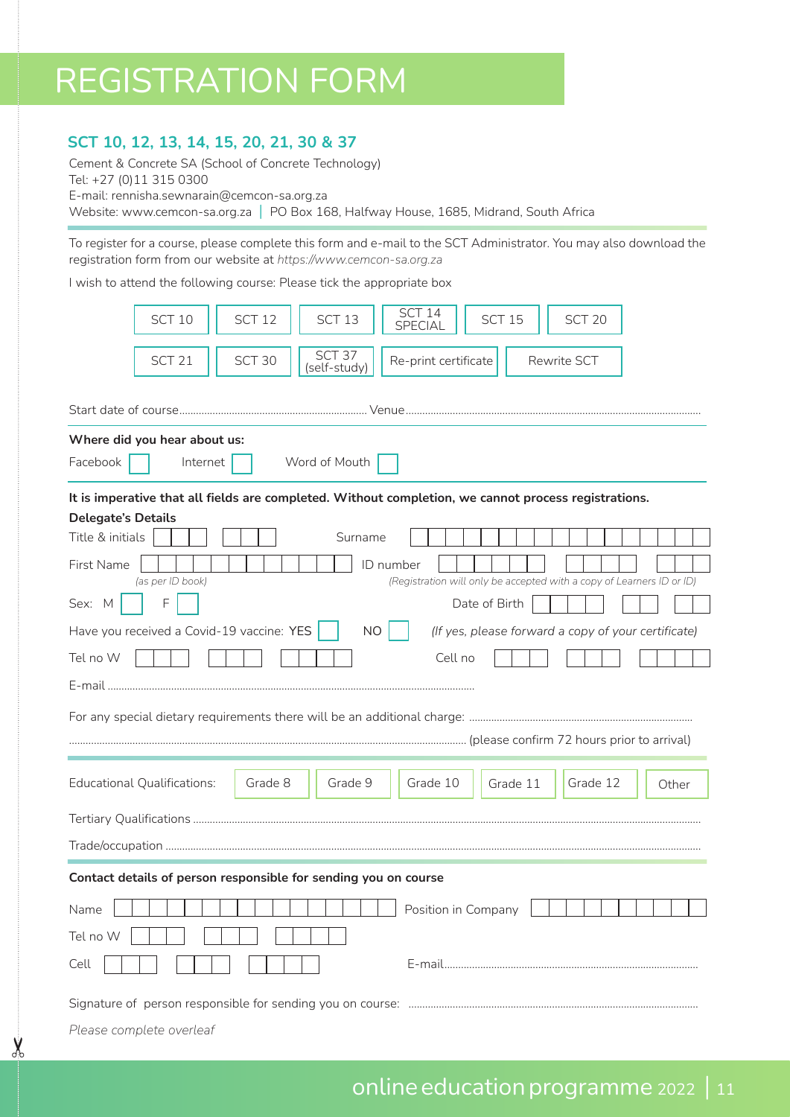## REGISTRATION FORM

## **SCT 10, 12, 13, 14, 15, 20, 21, 30 & 37**

**X** 

Cement & Concrete SA (School of Concrete Technology) Tel: +27 (0)11 315 0300 E-mail: rennisha.sewnarain@cemcon-sa.org.za Website: www.cemcon-sa.org.za | PO Box 168, Halfway House, 1685, Midrand, South Africa

To register for a course, please complete this form and e-mail to the SCT Administrator. You may also download the registration form from our website at *https://www.cemcon-sa.org.za* 

I wish to attend the following course: Please tick the appropriate box

| SCT <sub>10</sub><br>SCT <sub>12</sub><br>SCT <sub>13</sub><br>SCT <sub>15</sub><br>SCT <sub>20</sub><br><b>SPECIAL</b><br>SCT <sub>37</sub><br>SCT 30<br>SCT <sub>21</sub><br>Re-print certificate<br>Rewrite SCT<br>(self-study)<br>Start date of course………………………………………………………… Venue……………………………………………………………………………………<br>Where did you hear about us:<br>Facebook<br>Word of Mouth<br>Internet<br>It is imperative that all fields are completed. Without completion, we cannot process registrations.<br><b>Delegate's Details</b><br>Title & initials<br>Surname<br>First Name<br>ID number<br>(Registration will only be accepted with a copy of Learners ID or ID)<br>(as per ID book) |  |  |  |  |  |
|---------------------------------------------------------------------------------------------------------------------------------------------------------------------------------------------------------------------------------------------------------------------------------------------------------------------------------------------------------------------------------------------------------------------------------------------------------------------------------------------------------------------------------------------------------------------------------------------------------------------------------------------------------------------------------------------|--|--|--|--|--|
|                                                                                                                                                                                                                                                                                                                                                                                                                                                                                                                                                                                                                                                                                             |  |  |  |  |  |
|                                                                                                                                                                                                                                                                                                                                                                                                                                                                                                                                                                                                                                                                                             |  |  |  |  |  |
|                                                                                                                                                                                                                                                                                                                                                                                                                                                                                                                                                                                                                                                                                             |  |  |  |  |  |
|                                                                                                                                                                                                                                                                                                                                                                                                                                                                                                                                                                                                                                                                                             |  |  |  |  |  |
|                                                                                                                                                                                                                                                                                                                                                                                                                                                                                                                                                                                                                                                                                             |  |  |  |  |  |
|                                                                                                                                                                                                                                                                                                                                                                                                                                                                                                                                                                                                                                                                                             |  |  |  |  |  |
|                                                                                                                                                                                                                                                                                                                                                                                                                                                                                                                                                                                                                                                                                             |  |  |  |  |  |
|                                                                                                                                                                                                                                                                                                                                                                                                                                                                                                                                                                                                                                                                                             |  |  |  |  |  |
|                                                                                                                                                                                                                                                                                                                                                                                                                                                                                                                                                                                                                                                                                             |  |  |  |  |  |
| F<br>Sex: M<br>Date of Birth                                                                                                                                                                                                                                                                                                                                                                                                                                                                                                                                                                                                                                                                |  |  |  |  |  |
| Have you received a Covid-19 vaccine: YES<br><b>NO</b><br>(If yes, please forward a copy of your certificate)                                                                                                                                                                                                                                                                                                                                                                                                                                                                                                                                                                               |  |  |  |  |  |
| Tel no W<br>Cell no                                                                                                                                                                                                                                                                                                                                                                                                                                                                                                                                                                                                                                                                         |  |  |  |  |  |
|                                                                                                                                                                                                                                                                                                                                                                                                                                                                                                                                                                                                                                                                                             |  |  |  |  |  |
|                                                                                                                                                                                                                                                                                                                                                                                                                                                                                                                                                                                                                                                                                             |  |  |  |  |  |
|                                                                                                                                                                                                                                                                                                                                                                                                                                                                                                                                                                                                                                                                                             |  |  |  |  |  |
|                                                                                                                                                                                                                                                                                                                                                                                                                                                                                                                                                                                                                                                                                             |  |  |  |  |  |
| Grade 12<br><b>Educational Qualifications:</b><br>Grade 8<br>Grade 9<br>Grade 10<br>Grade 11<br>Other                                                                                                                                                                                                                                                                                                                                                                                                                                                                                                                                                                                       |  |  |  |  |  |
|                                                                                                                                                                                                                                                                                                                                                                                                                                                                                                                                                                                                                                                                                             |  |  |  |  |  |
|                                                                                                                                                                                                                                                                                                                                                                                                                                                                                                                                                                                                                                                                                             |  |  |  |  |  |
| Contact details of person responsible for sending you on course                                                                                                                                                                                                                                                                                                                                                                                                                                                                                                                                                                                                                             |  |  |  |  |  |
| Position in Company<br>Name                                                                                                                                                                                                                                                                                                                                                                                                                                                                                                                                                                                                                                                                 |  |  |  |  |  |
| Tel no W                                                                                                                                                                                                                                                                                                                                                                                                                                                                                                                                                                                                                                                                                    |  |  |  |  |  |
| Cell                                                                                                                                                                                                                                                                                                                                                                                                                                                                                                                                                                                                                                                                                        |  |  |  |  |  |
|                                                                                                                                                                                                                                                                                                                                                                                                                                                                                                                                                                                                                                                                                             |  |  |  |  |  |
| Please complete overleaf                                                                                                                                                                                                                                                                                                                                                                                                                                                                                                                                                                                                                                                                    |  |  |  |  |  |